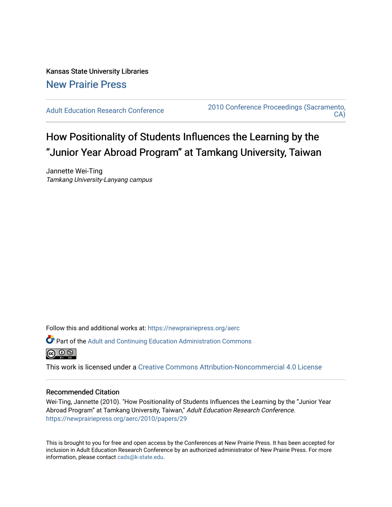Kansas State University Libraries [New Prairie Press](https://newprairiepress.org/) 

[Adult Education Research Conference](https://newprairiepress.org/aerc) [2010 Conference Proceedings \(Sacramento,](https://newprairiepress.org/aerc/2010)  [CA\)](https://newprairiepress.org/aerc/2010) 

# How Positionality of Students Influences the Learning by the "Junior Year Abroad Program" at Tamkang University, Taiwan

Jannette Wei-Ting Tamkang University-Lanyang campus

Follow this and additional works at: [https://newprairiepress.org/aerc](https://newprairiepress.org/aerc?utm_source=newprairiepress.org%2Faerc%2F2010%2Fpapers%2F29&utm_medium=PDF&utm_campaign=PDFCoverPages)

Part of the [Adult and Continuing Education Administration Commons](http://network.bepress.com/hgg/discipline/789?utm_source=newprairiepress.org%2Faerc%2F2010%2Fpapers%2F29&utm_medium=PDF&utm_campaign=PDFCoverPages)



This work is licensed under a [Creative Commons Attribution-Noncommercial 4.0 License](https://creativecommons.org/licenses/by-nc/4.0/)

# Recommended Citation

Wei-Ting, Jannette (2010). "How Positionality of Students Influences the Learning by the "Junior Year Abroad Program" at Tamkang University, Taiwan," Adult Education Research Conference. <https://newprairiepress.org/aerc/2010/papers/29>

This is brought to you for free and open access by the Conferences at New Prairie Press. It has been accepted for inclusion in Adult Education Research Conference by an authorized administrator of New Prairie Press. For more information, please contact [cads@k-state.edu](mailto:cads@k-state.edu).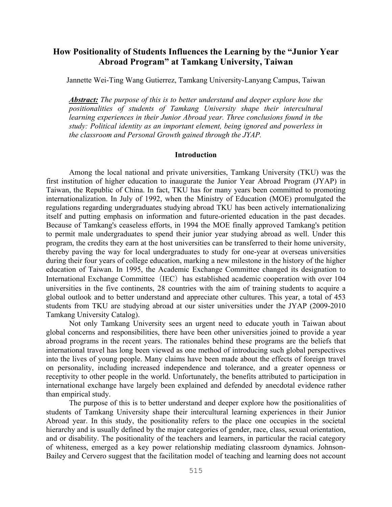# **How Positionality of Students Influences the Learning by the "Junior Year Abroad Program" at Tamkang University, Taiwan**

Jannette Wei-Ting Wang Gutierrez, Tamkang University-Lanyang Campus, Taiwan

*Abstract: The purpose of this is to better understand and deeper explore how the positionalities of students of Tamkang University shape their intercultural learning experiences in their Junior Abroad year. Three conclusions found in the study: Political identity as an important element, being ignored and powerless in the classroom and Personal Growth gained through the JYAP.* 

# **Introduction**

Among the local national and private universities, Tamkang University (TKU) was the first institution of higher education to inaugurate the Junior Year Abroad Program (JYAP) in Taiwan, the Republic of China. In fact, TKU has for many years been committed to promoting internationalization. In July of 1992, when the Ministry of Education (MOE) promulgated the regulations regarding undergraduates studying abroad TKU has been actively internationalizing itself and putting emphasis on information and future-oriented education in the past decades. Because of Tamkang's ceaseless efforts, in 1994 the MOE finally approved Tamkang's petition to permit male undergraduates to spend their junior year studying abroad as well. Under this program, the credits they earn at the host universities can be transferred to their home university, thereby paving the way for local undergraduates to study for one-year at overseas universities during their four years of college education, marking a new milestone in the history of the higher education of Taiwan. In 1995, the Academic Exchange Committee changed its designation to International Exchange Committee (IEC) has established academic cooperation with over 104 universities in the five continents, 28 countries with the aim of training students to acquire a global outlook and to better understand and appreciate other cultures. This year, a total of 453 students from TKU are studying abroad at our sister universities under the JYAP (2009-2010 Tamkang University Catalog).

 Not only Tamkang University sees an urgent need to educate youth in Taiwan about global concerns and responsibilities, there have been other universities joined to provide a year abroad programs in the recent years. The rationales behind these programs are the beliefs that international travel has long been viewed as one method of introducing such global perspectives into the lives of young people. Many claims have been made about the effects of foreign travel on personality, including increased independence and tolerance, and a greater openness or receptivity to other people in the world. Unfortunately, the benefits attributed to participation in international exchange have largely been explained and defended by anecdotal evidence rather than empirical study.

The purpose of this is to better understand and deeper explore how the positionalities of students of Tamkang University shape their intercultural learning experiences in their Junior Abroad year. In this study, the positionality refers to the place one occupies in the societal hierarchy and is usually defined by the major categories of gender, race, class, sexual orientation, and or disability. The positionality of the teachers and learners, in particular the racial category of whiteness, emerged as a key power relationship mediating classroom dynamics. Johnson-Bailey and Cervero suggest that the facilitation model of teaching and learning does not account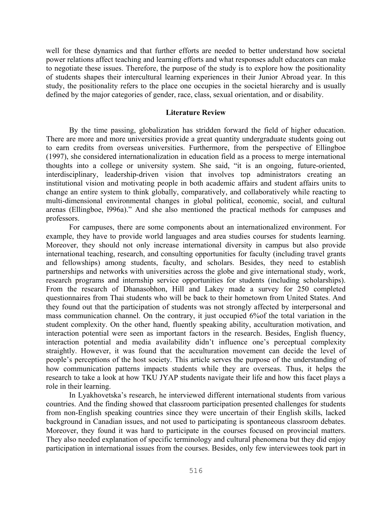well for these dynamics and that further efforts are needed to better understand how societal power relations affect teaching and learning efforts and what responses adult educators can make to negotiate these issues. Therefore, the purpose of the study is to explore how the positionality of students shapes their intercultural learning experiences in their Junior Abroad year. In this study, the positionality refers to the place one occupies in the societal hierarchy and is usually defined by the major categories of gender, race, class, sexual orientation, and or disability.

# **Literature Review**

By the time passing, globalization has stridden forward the field of higher education. There are more and more universities provide a great quantity undergraduate students going out to earn credits from overseas universities. Furthermore, from the perspective of Ellingboe (1997), she considered internationalization in education field as a process to merge international thoughts into a college or university system. She said, "it is an ongoing, future-oriented, interdisciplinary, leadership-driven vision that involves top administrators creating an institutional vision and motivating people in both academic affairs and student affairs units to change an entire system to think globally, comparatively, and collaboratively while reacting to multi-dimensional environmental changes in global political, economic, social, and cultural arenas (Ellingboe, l996a)." And she also mentioned the practical methods for campuses and professors.

For campuses, there are some components about an internationalized environment. For example, they have to provide world languages and area studies courses for students learning. Moreover, they should not only increase international diversity in campus but also provide international teaching, research, and consulting opportunities for faculty (including travel grants and fellowships) among students, faculty, and scholars. Besides, they need to establish partnerships and networks with universities across the globe and give international study, work, research programs and internship service opportunities for students (including scholarships). From the research of Dhanasobhon, Hill and Lakey made a survey for 250 completed questionnaires from Thai students who will be back to their hometown from United States. And they found out that the participation of students was not strongly affected by interpersonal and mass communication channel. On the contrary, it just occupied 6%of the total variation in the student complexity. On the other hand, fluently speaking ability, acculturation motivation, and interaction potential were seen as important factors in the research. Besides, English fluency, interaction potential and media availability didn't influence one's perceptual complexity straightly. However, it was found that the acculturation movement can decide the level of people's perceptions of the host society. This article serves the purpose of the understanding of how communication patterns impacts students while they are overseas. Thus, it helps the research to take a look at how TKU JYAP students navigate their life and how this facet plays a role in their learning.

In Lyakhovetska's research, he interviewed different international students from various countries. And the finding showed that classroom participation presented challenges for students from non-English speaking countries since they were uncertain of their English skills, lacked background in Canadian issues, and not used to participating is spontaneous classroom debates. Moreover, they found it was hard to participate in the courses focused on provincial matters. They also needed explanation of specific terminology and cultural phenomena but they did enjoy participation in international issues from the courses. Besides, only few interviewees took part in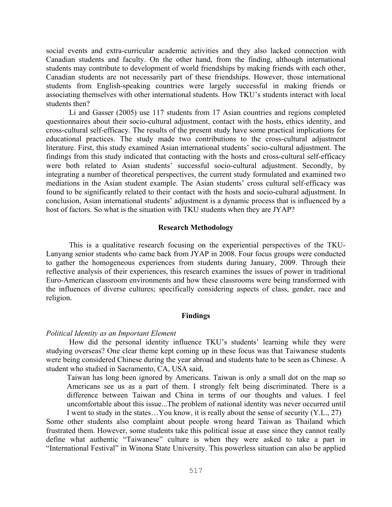social events and extra-curricular academic activities and they also lacked connection with Canadian students and faculty. On the other hand, from the finding, although international students may contribute to development of world friendships by making friends with each other, Canadian students are not necessarily part of these friendships. However, those international students from English-speaking countries were largely successful in making friends or associating themselves with other international students. How TKU's students interact with local students then?

Li and Gasser (2005) use 117 students from 17 Asian countries and regions completed questionnaires about their socio-cultural adjustment, contact with the hosts, ethics identity, and cross-cultural self-efficacy. The results of the present study have some practical implications for educational practices. The study made two contributions to the cross-cultural adjustment literature. First, this study examined Asian international students' socio-cultural adjustment. The findings from this study indicated that contacting with the hosts and cross-cultural self-efficacy were both related to Asian students' successful socio-cultural adjustment. Secondly, by integrating a number of theoretical perspectives, the current study formulated and examined two mediations in the Asian student example. The Asian students' cross cultural self-efficacy was found to be significantly related to their contact with the hosts and socio-cultural adjustment. In conclusion, Asian international students' adjustment is a dynamic process that is influenced by a host of factors. So what is the situation with TKU students when they are JYAP?

# **Research Methodology**

This is a qualitative research focusing on the experiential perspectives of the TKU-Lanyang senior students who came back from JYAP in 2008. Four focus groups were conducted to gather the homogeneous experiences from students during January, 2009. Through their reflective analysis of their experiences, this research examines the issues of power in traditional Euro-American classroom environments and how these classrooms were being transformed with the influences of diverse cultures; specifically considering aspects of class, gender, race and religion.

# **Findings**

#### *Political Identity as an Important Element*

How did the personal identity influence TKU's students' learning while they were studying overseas? One clear theme kept coming up in these focus was that Taiwanese students were being considered Chinese during the year abroad and students hate to be seen as Chinese. A student who studied in Sacramento, CA, USA said,

Taiwan has long been ignored by Americans. Taiwan is only a small dot on the map so Americans see us as a part of them. I strongly felt being discriminated. There is a difference between Taiwan and China in terms of our thoughts and values. I feel uncomfortable about this issue...The problem of national identity was never occurred until I went to study in the states…You know, it is really about the sense of security (Y.L., 27)

Some other students also complaint about people wrong heard Taiwan as Thailand which frustrated them. However, some students take this political issue at ease since they cannot really define what authentic "Taiwanese" culture is when they were asked to take a part in "International Festival" in Winona State University. This powerless situation can also be applied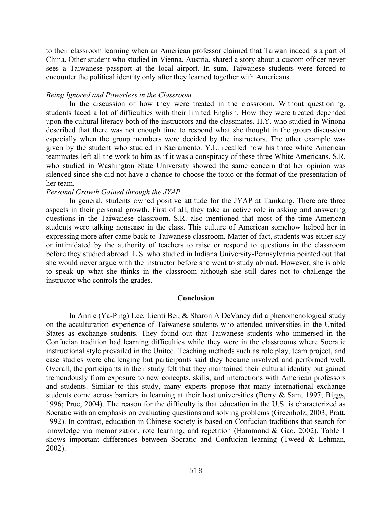to their classroom learning when an American professor claimed that Taiwan indeed is a part of China. Other student who studied in Vienna, Austria, shared a story about a custom officer never sees a Taiwanese passport at the local airport. In sum, Taiwanese students were forced to encounter the political identity only after they learned together with Americans.

# *Being Ignored and Powerless in the Classroom*

In the discussion of how they were treated in the classroom. Without questioning, students faced a lot of difficulties with their limited English. How they were treated depended upon the cultural literacy both of the instructors and the classmates. H.Y. who studied in Winona described that there was not enough time to respond what she thought in the group discussion especially when the group members were decided by the instructors. The other example was given by the student who studied in Sacramento. Y.L. recalled how his three white American teammates left all the work to him as if it was a conspiracy of these three White Americans. S.R. who studied in Washington State University showed the same concern that her opinion was silenced since she did not have a chance to choose the topic or the format of the presentation of her team.

# *Personal Growth Gained through the JYAP*

In general, students owned positive attitude for the JYAP at Tamkang. There are three aspects in their personal growth. First of all, they take an active role in asking and answering questions in the Taiwanese classroom. S.R. also mentioned that most of the time American students were talking nonsense in the class. This culture of American somehow helped her in expressing more after came back to Taiwanese classroom. Matter of fact, students was either shy or intimidated by the authority of teachers to raise or respond to questions in the classroom before they studied abroad. L.S. who studied in Indiana University-Pennsylvania pointed out that she would never argue with the instructor before she went to study abroad. However, she is able to speak up what she thinks in the classroom although she still dares not to challenge the instructor who controls the grades.

## **Conclusion**

In Annie (Ya-Ping) Lee, Lienti Bei, & Sharon A DeVaney did a phenomenological study on the acculturation experience of Taiwanese students who attended universities in the United States as exchange students. They found out that Taiwanese students who immersed in the Confucian tradition had learning difficulties while they were in the classrooms where Socratic instructional style prevailed in the United. Teaching methods such as role play, team project, and case studies were challenging but participants said they became involved and performed well. Overall, the participants in their study felt that they maintained their cultural identity but gained tremendously from exposure to new concepts, skills, and interactions with American professors and students. Similar to this study, many experts propose that many international exchange students come across barriers in learning at their host universities (Berry & Sam, 1997; Biggs, 1996; Prue, 2004). The reason for the difficulty is that education in the U.S. is characterized as Socratic with an emphasis on evaluating questions and solving problems (Greenholz, 2003; Pratt, 1992). In contrast, education in Chinese society is based on Confucian traditions that search for knowledge via memorization, rote learning, and repetition (Hammond & Gao, 2002). Table 1 shows important differences between Socratic and Confucian learning (Tweed & Lehman, 2002).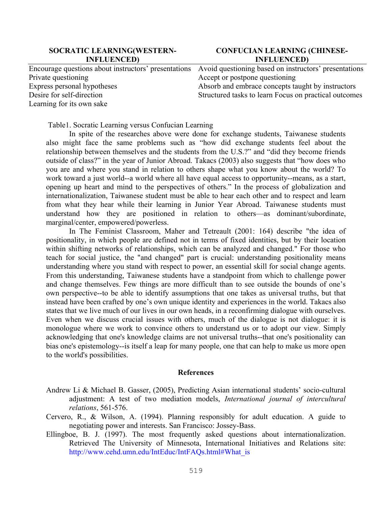# **SOCRATIC LEARNING(WESTERN-INFLUENCED)**

# **CONFUCIAN LEARNING (CHINESE-INFLUENCED)**

|                             | Encourage questions about instructors' presentations Avoid questioning based on instructors' presentations |
|-----------------------------|------------------------------------------------------------------------------------------------------------|
| Private questioning         | Accept or postpone questioning                                                                             |
| Express personal hypotheses | Absorb and embrace concepts taught by instructors                                                          |
| Desire for self-direction   | Structured tasks to learn Focus on practical outcomes                                                      |
| Learning for its own sake   |                                                                                                            |

Table1. Socratic Learning versus Confucian Learning

In spite of the researches above were done for exchange students, Taiwanese students also might face the same problems such as "how did exchange students feel about the relationship between themselves and the students from the U.S.?" and "did they become friends outside of class?" in the year of Junior Abroad. Takacs (2003) also suggests that "how does who you are and where you stand in relation to others shape what you know about the world? To work toward a just world--a world where all have equal access to opportunity--means, as a start, opening up heart and mind to the perspectives of others." In the process of globalization and internationalization, Taiwanese student must be able to hear each other and to respect and learn from what they hear while their learning in Junior Year Abroad. Taiwanese students must understand how they are positioned in relation to others—as dominant/subordinate, marginal/center, empowered/powerless.

In The Feminist Classroom, Maher and Tetreault (2001: 164) describe "the idea of positionality, in which people are defined not in terms of fixed identities, but by their location within shifting networks of relationships, which can be analyzed and changed." For those who teach for social justice, the "and changed" part is crucial: understanding positionality means understanding where you stand with respect to power, an essential skill for social change agents. From this understanding, Taiwanese students have a standpoint from which to challenge power and change themselves. Few things are more difficult than to see outside the bounds of one's own perspective--to be able to identify assumptions that one takes as universal truths, but that instead have been crafted by one's own unique identity and experiences in the world. Takacs also states that we live much of our lives in our own heads, in a reconfirming dialogue with ourselves. Even when we discuss crucial issues with others, much of the dialogue is not dialogue: it is monologue where we work to convince others to understand us or to adopt our view. Simply acknowledging that one's knowledge claims are not universal truths--that one's positionality can bias one's epistemology--is itself a leap for many people, one that can help to make us more open to the world's possibilities.

#### **References**

- Andrew Li & Michael B. Gasser, (2005), Predicting Asian international students' socio-cultural adjustment: A test of two mediation models, *International journal of intercultural relations*, 561-576.
- Cervero, R., & Wilson, A. (1994). Planning responsibly for adult education. A guide to negotiating power and interests. San Francisco: Jossey-Bass.
- Ellingboe, B. J. (1997). The most frequently asked questions about internationalization. Retrieved The University of Minnesota, International Initiatives and Relations site: http://www.cehd.umn.edu/IntEduc/IntFAQs.html#What\_is